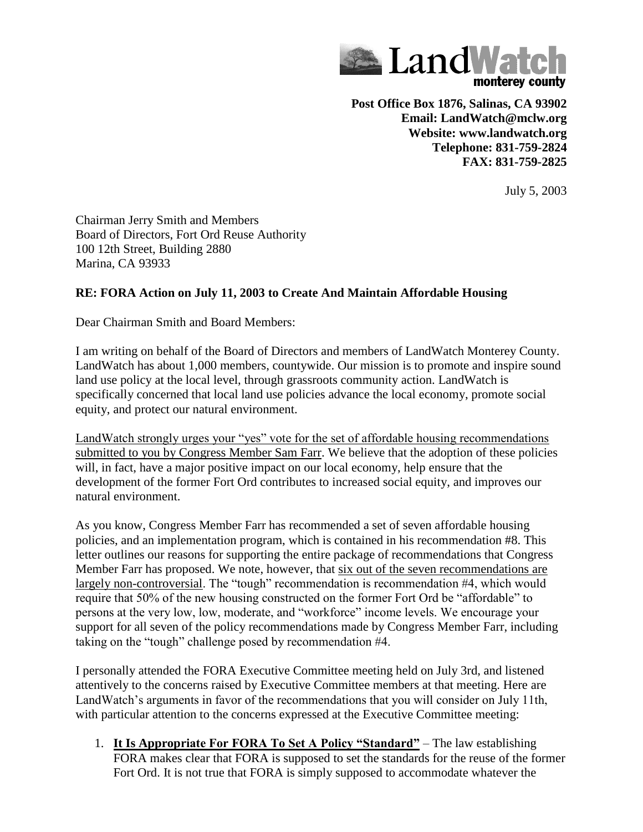

**Post Office Box 1876, Salinas, CA 93902 Email: LandWatch@mclw.org Website: www.landwatch.org Telephone: 831-759-2824 FAX: 831-759-2825**

July 5, 2003

Chairman Jerry Smith and Members Board of Directors, Fort Ord Reuse Authority 100 12th Street, Building 2880 Marina, CA 93933

## **RE: FORA Action on July 11, 2003 to Create And Maintain Affordable Housing**

Dear Chairman Smith and Board Members:

I am writing on behalf of the Board of Directors and members of LandWatch Monterey County. LandWatch has about 1,000 members, countywide. Our mission is to promote and inspire sound land use policy at the local level, through grassroots community action. LandWatch is specifically concerned that local land use policies advance the local economy, promote social equity, and protect our natural environment.

LandWatch strongly urges your "yes" vote for the set of affordable housing recommendations submitted to you by Congress Member Sam Farr. We believe that the adoption of these policies will, in fact, have a major positive impact on our local economy, help ensure that the development of the former Fort Ord contributes to increased social equity, and improves our natural environment.

As you know, Congress Member Farr has recommended a set of seven affordable housing policies, and an implementation program, which is contained in his recommendation #8. This letter outlines our reasons for supporting the entire package of recommendations that Congress Member Farr has proposed. We note, however, that six out of the seven recommendations are largely non-controversial. The "tough" recommendation is recommendation #4, which would require that 50% of the new housing constructed on the former Fort Ord be "affordable" to persons at the very low, low, moderate, and "workforce" income levels. We encourage your support for all seven of the policy recommendations made by Congress Member Farr, including taking on the "tough" challenge posed by recommendation #4.

I personally attended the FORA Executive Committee meeting held on July 3rd, and listened attentively to the concerns raised by Executive Committee members at that meeting. Here are LandWatch's arguments in favor of the recommendations that you will consider on July 11th, with particular attention to the concerns expressed at the Executive Committee meeting:

1. **It Is Appropriate For FORA To Set A Policy "Standard"** – The law establishing FORA makes clear that FORA is supposed to set the standards for the reuse of the former Fort Ord. It is not true that FORA is simply supposed to accommodate whatever the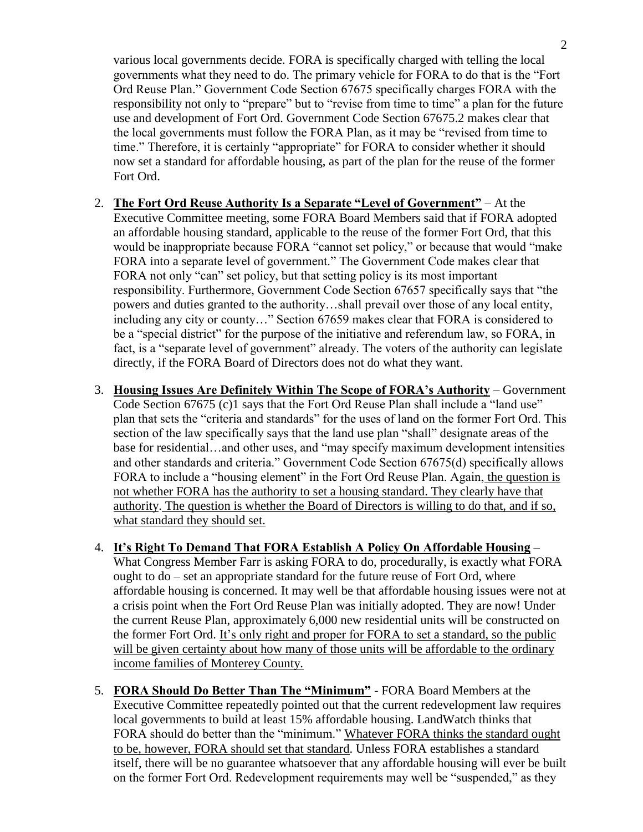various local governments decide. FORA is specifically charged with telling the local governments what they need to do. The primary vehicle for FORA to do that is the "Fort Ord Reuse Plan." Government Code Section 67675 specifically charges FORA with the responsibility not only to "prepare" but to "revise from time to time" a plan for the future use and development of Fort Ord. Government Code Section 67675.2 makes clear that the local governments must follow the FORA Plan, as it may be "revised from time to time." Therefore, it is certainly "appropriate" for FORA to consider whether it should now set a standard for affordable housing, as part of the plan for the reuse of the former Fort Ord.

- 2. **The Fort Ord Reuse Authority Is a Separate "Level of Government"** At the Executive Committee meeting, some FORA Board Members said that if FORA adopted an affordable housing standard, applicable to the reuse of the former Fort Ord, that this would be inappropriate because FORA "cannot set policy," or because that would "make FORA into a separate level of government." The Government Code makes clear that FORA not only "can" set policy, but that setting policy is its most important responsibility. Furthermore, Government Code Section 67657 specifically says that "the powers and duties granted to the authority…shall prevail over those of any local entity, including any city or county…" Section 67659 makes clear that FORA is considered to be a "special district" for the purpose of the initiative and referendum law, so FORA, in fact, is a "separate level of government" already. The voters of the authority can legislate directly, if the FORA Board of Directors does not do what they want.
- 3. **Housing Issues Are Definitely Within The Scope of FORA's Authority** Government Code Section 67675 (c)1 says that the Fort Ord Reuse Plan shall include a "land use" plan that sets the "criteria and standards" for the uses of land on the former Fort Ord. This section of the law specifically says that the land use plan "shall" designate areas of the base for residential…and other uses, and "may specify maximum development intensities and other standards and criteria." Government Code Section 67675(d) specifically allows FORA to include a "housing element" in the Fort Ord Reuse Plan. Again, the question is not whether FORA has the authority to set a housing standard. They clearly have that authority. The question is whether the Board of Directors is willing to do that, and if so, what standard they should set.
- 4. **It's Right To Demand That FORA Establish A Policy On Affordable Housing** What Congress Member Farr is asking FORA to do, procedurally, is exactly what FORA ought to  $do - set$  an appropriate standard for the future reuse of Fort Ord, where affordable housing is concerned. It may well be that affordable housing issues were not at a crisis point when the Fort Ord Reuse Plan was initially adopted. They are now! Under the current Reuse Plan, approximately 6,000 new residential units will be constructed on the former Fort Ord. It's only right and proper for FORA to set a standard, so the public will be given certainty about how many of those units will be affordable to the ordinary income families of Monterey County.
- 5. **FORA Should Do Better Than The "Minimum"** FORA Board Members at the Executive Committee repeatedly pointed out that the current redevelopment law requires local governments to build at least 15% affordable housing. LandWatch thinks that FORA should do better than the "minimum." Whatever FORA thinks the standard ought to be, however, FORA should set that standard. Unless FORA establishes a standard itself, there will be no guarantee whatsoever that any affordable housing will ever be built on the former Fort Ord. Redevelopment requirements may well be "suspended," as they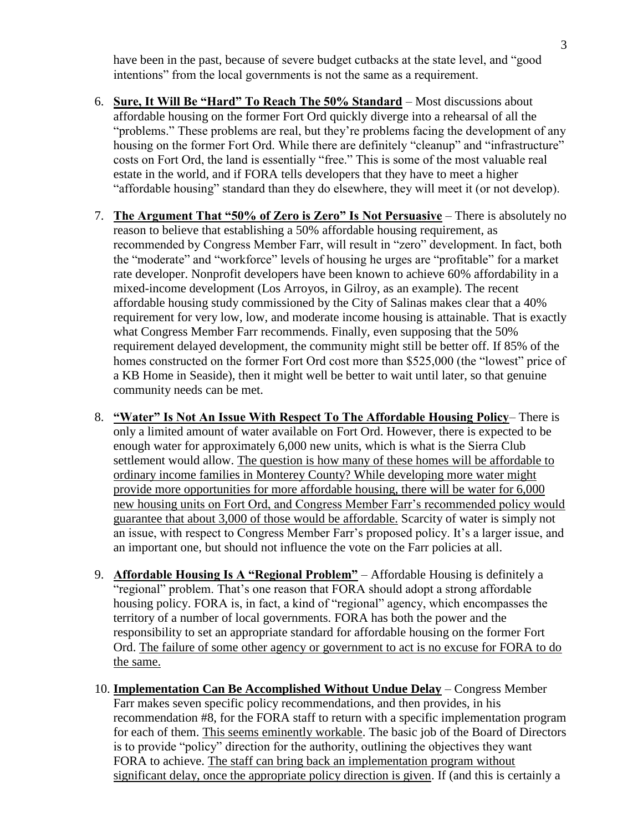have been in the past, because of severe budget cutbacks at the state level, and "good intentions" from the local governments is not the same as a requirement.

- 6. **Sure, It Will Be "Hard" To Reach The 50% Standard** Most discussions about affordable housing on the former Fort Ord quickly diverge into a rehearsal of all the "problems." These problems are real, but they're problems facing the development of any housing on the former Fort Ord. While there are definitely "cleanup" and "infrastructure" costs on Fort Ord, the land is essentially "free." This is some of the most valuable real estate in the world, and if FORA tells developers that they have to meet a higher "affordable housing" standard than they do elsewhere, they will meet it (or not develop).
- 7. **The Argument That "50% of Zero is Zero" Is Not Persuasive** There is absolutely no reason to believe that establishing a 50% affordable housing requirement, as recommended by Congress Member Farr, will result in "zero" development. In fact, both the "moderate" and "workforce" levels of housing he urges are "profitable" for a market rate developer. Nonprofit developers have been known to achieve 60% affordability in a mixed-income development (Los Arroyos, in Gilroy, as an example). The recent affordable housing study commissioned by the City of Salinas makes clear that a 40% requirement for very low, low, and moderate income housing is attainable. That is exactly what Congress Member Farr recommends. Finally, even supposing that the 50% requirement delayed development, the community might still be better off. If 85% of the homes constructed on the former Fort Ord cost more than \$525,000 (the "lowest" price of a KB Home in Seaside), then it might well be better to wait until later, so that genuine community needs can be met.
- 8. **"Water" Is Not An Issue With Respect To The Affordable Housing Policy** There is only a limited amount of water available on Fort Ord. However, there is expected to be enough water for approximately 6,000 new units, which is what is the Sierra Club settlement would allow. The question is how many of these homes will be affordable to ordinary income families in Monterey County? While developing more water might provide more opportunities for more affordable housing, there will be water for 6,000 new housing units on Fort Ord, and Congress Member Farr's recommended policy would guarantee that about 3,000 of those would be affordable. Scarcity of water is simply not an issue, with respect to Congress Member Farr's proposed policy. It's a larger issue, and an important one, but should not influence the vote on the Farr policies at all.
- 9. **Affordable Housing Is A "Regional Problem"** Affordable Housing is definitely a "regional" problem. That's one reason that FORA should adopt a strong affordable housing policy. FORA is, in fact, a kind of "regional" agency, which encompasses the territory of a number of local governments. FORA has both the power and the responsibility to set an appropriate standard for affordable housing on the former Fort Ord. The failure of some other agency or government to act is no excuse for FORA to do the same.
- 10. **Implementation Can Be Accomplished Without Undue Delay** Congress Member Farr makes seven specific policy recommendations, and then provides, in his recommendation #8, for the FORA staff to return with a specific implementation program for each of them. This seems eminently workable. The basic job of the Board of Directors is to provide "policy" direction for the authority, outlining the objectives they want FORA to achieve. The staff can bring back an implementation program without significant delay, once the appropriate policy direction is given. If (and this is certainly a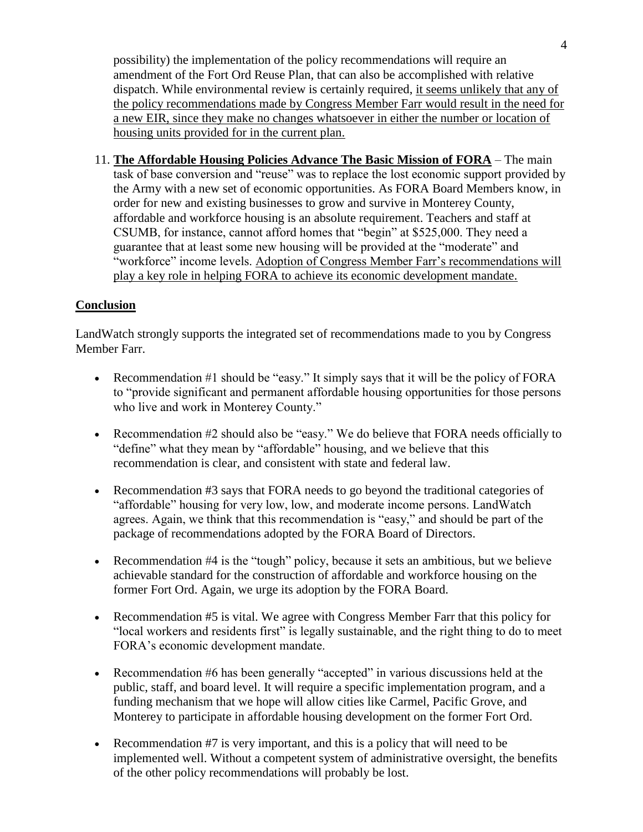possibility) the implementation of the policy recommendations will require an amendment of the Fort Ord Reuse Plan, that can also be accomplished with relative dispatch. While environmental review is certainly required, it seems unlikely that any of the policy recommendations made by Congress Member Farr would result in the need for a new EIR, since they make no changes whatsoever in either the number or location of housing units provided for in the current plan.

11. **The Affordable Housing Policies Advance The Basic Mission of FORA** – The main task of base conversion and "reuse" was to replace the lost economic support provided by the Army with a new set of economic opportunities. As FORA Board Members know, in order for new and existing businesses to grow and survive in Monterey County, affordable and workforce housing is an absolute requirement. Teachers and staff at CSUMB, for instance, cannot afford homes that "begin" at \$525,000. They need a guarantee that at least some new housing will be provided at the "moderate" and "workforce" income levels. Adoption of Congress Member Farr's recommendations will play a key role in helping FORA to achieve its economic development mandate.

## **Conclusion**

LandWatch strongly supports the integrated set of recommendations made to you by Congress Member Farr.

- Recommendation #1 should be "easy." It simply says that it will be the policy of FORA to "provide significant and permanent affordable housing opportunities for those persons who live and work in Monterey County."
- Recommendation #2 should also be "easy." We do believe that FORA needs officially to "define" what they mean by "affordable" housing, and we believe that this recommendation is clear, and consistent with state and federal law.
- Recommendation #3 says that FORA needs to go beyond the traditional categories of "affordable" housing for very low, low, and moderate income persons. LandWatch agrees. Again, we think that this recommendation is "easy," and should be part of the package of recommendations adopted by the FORA Board of Directors.
- Recommendation #4 is the "tough" policy, because it sets an ambitious, but we believe achievable standard for the construction of affordable and workforce housing on the former Fort Ord. Again, we urge its adoption by the FORA Board.
- Recommendation #5 is vital. We agree with Congress Member Farr that this policy for "local workers and residents first" is legally sustainable, and the right thing to do to meet FORA's economic development mandate.
- Recommendation #6 has been generally "accepted" in various discussions held at the public, staff, and board level. It will require a specific implementation program, and a funding mechanism that we hope will allow cities like Carmel, Pacific Grove, and Monterey to participate in affordable housing development on the former Fort Ord.
- Exercise Recommendation  $\#7$  is very important, and this is a policy that will need to be implemented well. Without a competent system of administrative oversight, the benefits of the other policy recommendations will probably be lost.